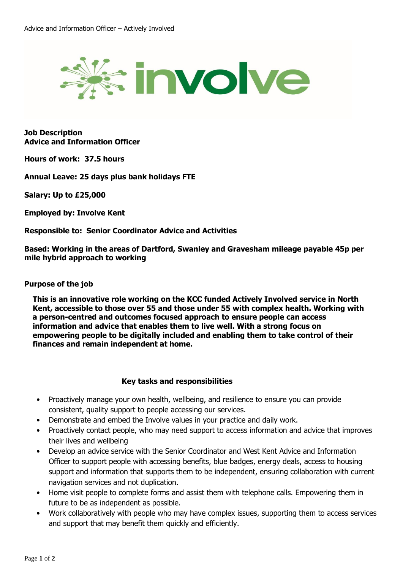

**Job Description Advice and Information Officer**

**Hours of work: 37.5 hours**

**Annual Leave: 25 days plus bank holidays FTE**

**Salary: Up to £25,000**

**Employed by: Involve Kent**

**Responsible to: Senior Coordinator Advice and Activities**

**Based: Working in the areas of Dartford, Swanley and Gravesham mileage payable 45p per mile hybrid approach to working**

## **Purpose of the job**

**This is an innovative role working on the KCC funded Actively Involved service in North Kent, accessible to those over 55 and those under 55 with complex health. Working with a person-centred and outcomes focused approach to ensure people can access information and advice that enables them to live well. With a strong focus on empowering people to be digitally included and enabling them to take control of their finances and remain independent at home.** 

## **Key tasks and responsibilities**

- Proactively manage your own health, wellbeing, and resilience to ensure you can provide consistent, quality support to people accessing our services.
- Demonstrate and embed the Involve values in your practice and daily work.
- Proactively contact people, who may need support to access information and advice that improves their lives and wellbeing
- Develop an advice service with the Senior Coordinator and West Kent Advice and Information Officer to support people with accessing benefits, blue badges, energy deals, access to housing support and information that supports them to be independent, ensuring collaboration with current navigation services and not duplication.
- Home visit people to complete forms and assist them with telephone calls. Empowering them in future to be as independent as possible.
- Work collaboratively with people who may have complex issues, supporting them to access services and support that may benefit them quickly and efficiently.